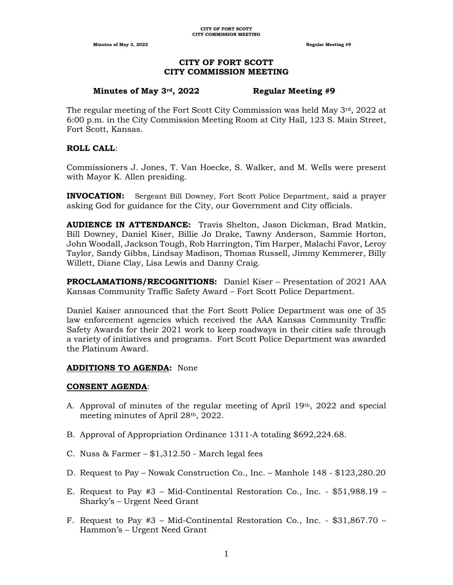#### **CITY OF FORT SCOTT CITY COMMISSION MEETING**

#### **Minutes of May 3rd, 2022 Regular Meeting #9**

The regular meeting of the Fort Scott City Commission was held May  $3<sup>rd</sup>$ , 2022 at 6:00 p.m. in the City Commission Meeting Room at City Hall, 123 S. Main Street, Fort Scott, Kansas.

#### **ROLL CALL**:

Commissioners J. Jones, T. Van Hoecke, S. Walker, and M. Wells were present with Mayor K. Allen presiding.

**INVOCATION:** Sergeant Bill Downey, Fort Scott Police Department, said a prayer asking God for guidance for the City, our Government and City officials.

**AUDIENCE IN ATTENDANCE:** Travis Shelton, Jason Dickman, Brad Matkin, Bill Downey, Daniel Kiser, Billie Jo Drake, Tawny Anderson, Sammie Horton, John Woodall, Jackson Tough, Rob Harrington, Tim Harper, Malachi Favor, Leroy Taylor, Sandy Gibbs, Lindsay Madison, Thomas Russell, Jimmy Kemmerer, Billy Willett, Diane Clay, Lisa Lewis and Danny Craig.

**PROCLAMATIONS/RECOGNITIONS:** Daniel Kiser – Presentation of 2021 AAA Kansas Community Traffic Safety Award – Fort Scott Police Department.

Daniel Kaiser announced that the Fort Scott Police Department was one of 35 law enforcement agencies which received the AAA Kansas Community Traffic Safety Awards for their 2021 work to keep roadways in their cities safe through a variety of initiatives and programs. Fort Scott Police Department was awarded the Platinum Award.

## **ADDITIONS TO AGENDA:** None

#### **CONSENT AGENDA**:

- A. Approval of minutes of the regular meeting of April 19th, 2022 and special meeting minutes of April 28<sup>th</sup>, 2022.
- B. Approval of Appropriation Ordinance 1311-A totaling \$692,224.68.
- C. Nuss & Farmer \$1,312.50 March legal fees
- D. Request to Pay Nowak Construction Co., Inc. Manhole 148 \$123,280.20
- E. Request to Pay #3 Mid-Continental Restoration Co., Inc. \$51,988.19 Sharky's – Urgent Need Grant
- F. Request to Pay  $#3$  Mid-Continental Restoration Co., Inc. \$31,867.70 Hammon's – Urgent Need Grant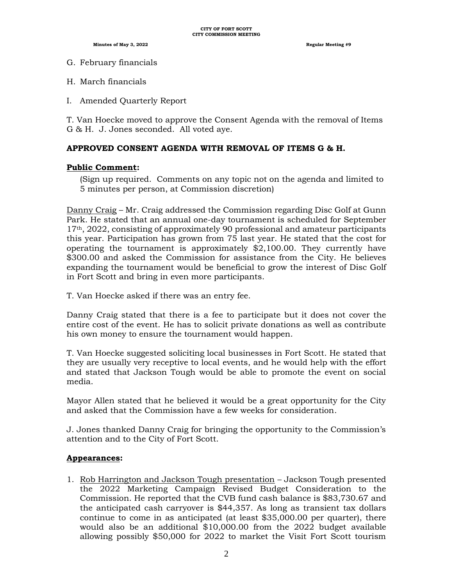- G. February financials
- H. March financials
- I. Amended Quarterly Report

T. Van Hoecke moved to approve the Consent Agenda with the removal of Items G & H. J. Jones seconded. All voted aye.

#### **APPROVED CONSENT AGENDA WITH REMOVAL OF ITEMS G & H.**

#### **Public Comment:**

(Sign up required. Comments on any topic not on the agenda and limited to 5 minutes per person, at Commission discretion)

Danny Craig – Mr. Craig addressed the Commission regarding Disc Golf at Gunn Park. He stated that an annual one-day tournament is scheduled for September 17th, 2022, consisting of approximately 90 professional and amateur participants this year. Participation has grown from 75 last year. He stated that the cost for operating the tournament is approximately \$2,100.00. They currently have \$300.00 and asked the Commission for assistance from the City. He believes expanding the tournament would be beneficial to grow the interest of Disc Golf in Fort Scott and bring in even more participants.

T. Van Hoecke asked if there was an entry fee.

Danny Craig stated that there is a fee to participate but it does not cover the entire cost of the event. He has to solicit private donations as well as contribute his own money to ensure the tournament would happen.

T. Van Hoecke suggested soliciting local businesses in Fort Scott. He stated that they are usually very receptive to local events, and he would help with the effort and stated that Jackson Tough would be able to promote the event on social media.

Mayor Allen stated that he believed it would be a great opportunity for the City and asked that the Commission have a few weeks for consideration.

J. Jones thanked Danny Craig for bringing the opportunity to the Commission's attention and to the City of Fort Scott.

#### **Appearances:**

1. Rob Harrington and Jackson Tough presentation – Jackson Tough presented the 2022 Marketing Campaign Revised Budget Consideration to the Commission. He reported that the CVB fund cash balance is \$83,730.67 and the anticipated cash carryover is \$44,357. As long as transient tax dollars continue to come in as anticipated (at least \$35,000.00 per quarter), there would also be an additional \$10,000.00 from the 2022 budget available allowing possibly \$50,000 for 2022 to market the Visit Fort Scott tourism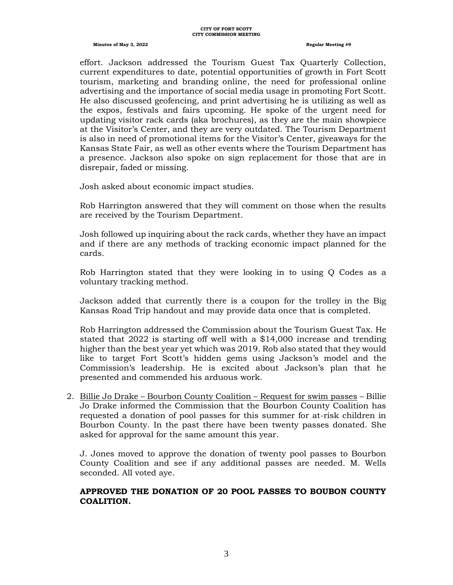#### **CITY OF FORT SCOTT CITY COMMISSION MEETING**

#### **Minutes of May 3, 2022 Regular Meeting #9**

effort. Jackson addressed the Tourism Guest Tax Quarterly Collection, current expenditures to date, potential opportunities of growth in Fort Scott tourism, marketing and branding online, the need for professional online advertising and the importance of social media usage in promoting Fort Scott. He also discussed geofencing, and print advertising he is utilizing as well as the expos, festivals and fairs upcoming. He spoke of the urgent need for updating visitor rack cards (aka brochures), as they are the main showpiece at the Visitor's Center, and they are very outdated. The Tourism Department is also in need of promotional items for the Visitor's Center, giveaways for the Kansas State Fair, as well as other events where the Tourism Department has a presence. Jackson also spoke on sign replacement for those that are in disrepair, faded or missing.

Josh asked about economic impact studies.

Rob Harrington answered that they will comment on those when the results are received by the Tourism Department.

Josh followed up inquiring about the rack cards, whether they have an impact and if there are any methods of tracking economic impact planned for the cards.

Rob Harrington stated that they were looking in to using Q Codes as a voluntary tracking method.

Jackson added that currently there is a coupon for the trolley in the Big Kansas Road Trip handout and may provide data once that is completed.

Rob Harrington addressed the Commission about the Tourism Guest Tax. He stated that 2022 is starting off well with a \$14,000 increase and trending higher than the best year yet which was 2019. Rob also stated that they would like to target Fort Scott's hidden gems using Jackson's model and the Commission's leadership. He is excited about Jackson's plan that he presented and commended his arduous work.

2. Billie Jo Drake – Bourbon County Coalition – Request for swim passes – Billie Jo Drake informed the Commission that the Bourbon County Coalition has requested a donation of pool passes for this summer for at-risk children in Bourbon County. In the past there have been twenty passes donated. She asked for approval for the same amount this year.

J. Jones moved to approve the donation of twenty pool passes to Bourbon County Coalition and see if any additional passes are needed. M. Wells seconded. All voted aye.

#### **APPROVED THE DONATION OF 20 POOL PASSES TO BOUBON COUNTY COALITION.**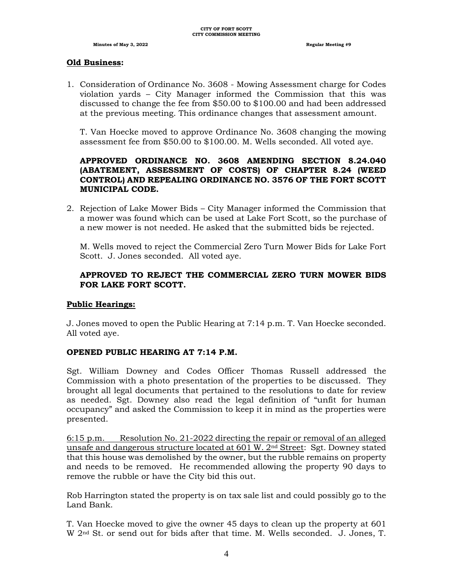#### **Old Business:**

1. Consideration of Ordinance No. 3608 - Mowing Assessment charge for Codes violation yards – City Manager informed the Commission that this was discussed to change the fee from \$50.00 to \$100.00 and had been addressed at the previous meeting. This ordinance changes that assessment amount.

T. Van Hoecke moved to approve Ordinance No. 3608 changing the mowing assessment fee from \$50.00 to \$100.00. M. Wells seconded. All voted aye.

## **APPROVED ORDINANCE NO. 3608 AMENDING SECTION 8.24.040 (ABATEMENT, ASSESSMENT OF COSTS) OF CHAPTER 8.24 (WEED CONTROL) AND REPEALING ORDINANCE NO. 3576 OF THE FORT SCOTT MUNICIPAL CODE.**

2. Rejection of Lake Mower Bids – City Manager informed the Commission that a mower was found which can be used at Lake Fort Scott, so the purchase of a new mower is not needed. He asked that the submitted bids be rejected.

M. Wells moved to reject the Commercial Zero Turn Mower Bids for Lake Fort Scott. J. Jones seconded. All voted aye.

## **APPROVED TO REJECT THE COMMERCIAL ZERO TURN MOWER BIDS FOR LAKE FORT SCOTT.**

#### **Public Hearings:**

J. Jones moved to open the Public Hearing at 7:14 p.m. T. Van Hoecke seconded. All voted aye.

#### **OPENED PUBLIC HEARING AT 7:14 P.M.**

Sgt. William Downey and Codes Officer Thomas Russell addressed the Commission with a photo presentation of the properties to be discussed. They brought all legal documents that pertained to the resolutions to date for review as needed. Sgt. Downey also read the legal definition of "unfit for human occupancy" and asked the Commission to keep it in mind as the properties were presented.

6:15 p.m. Resolution No. 21-2022 directing the repair or removal of an alleged unsafe and dangerous structure located at  $601 \text{ W}$ .  $2^{\text{nd}}$  Street: Sgt. Downey stated that this house was demolished by the owner, but the rubble remains on property and needs to be removed. He recommended allowing the property 90 days to remove the rubble or have the City bid this out.

Rob Harrington stated the property is on tax sale list and could possibly go to the Land Bank.

T. Van Hoecke moved to give the owner 45 days to clean up the property at 601 W 2nd St. or send out for bids after that time. M. Wells seconded. J. Jones, T.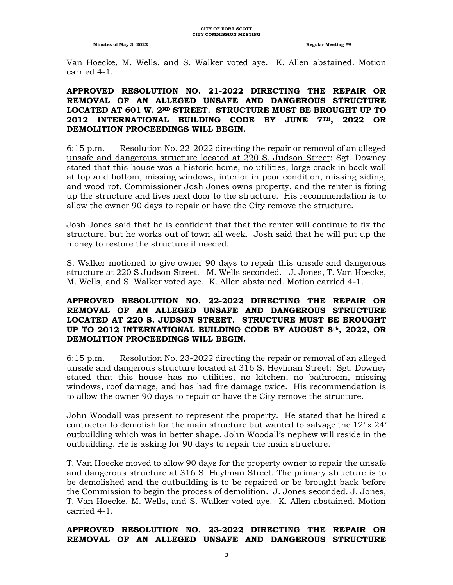Van Hoecke, M. Wells, and S. Walker voted aye. K. Allen abstained. Motion carried 4-1.

#### **APPROVED RESOLUTION NO. 21-2022 DIRECTING THE REPAIR OR REMOVAL OF AN ALLEGED UNSAFE AND DANGEROUS STRUCTURE LOCATED AT 601 W. 2ND STREET. STRUCTURE MUST BE BROUGHT UP TO 2012 INTERNATIONAL BUILDING CODE BY JUNE 7TH, 2022 OR DEMOLITION PROCEEDINGS WILL BEGIN.**

6:15 p.m. Resolution No. 22-2022 directing the repair or removal of an alleged unsafe and dangerous structure located at 220 S. Judson Street: Sgt. Downey stated that this house was a historic home, no utilities, large crack in back wall at top and bottom, missing windows, interior in poor condition, missing siding, and wood rot. Commissioner Josh Jones owns property, and the renter is fixing up the structure and lives next door to the structure. His recommendation is to allow the owner 90 days to repair or have the City remove the structure.

Josh Jones said that he is confident that that the renter will continue to fix the structure, but he works out of town all week. Josh said that he will put up the money to restore the structure if needed.

S. Walker motioned to give owner 90 days to repair this unsafe and dangerous structure at 220 S Judson Street. M. Wells seconded. J. Jones, T. Van Hoecke, M. Wells, and S. Walker voted aye. K. Allen abstained. Motion carried 4-1.

#### **APPROVED RESOLUTION NO. 22-2022 DIRECTING THE REPAIR OR REMOVAL OF AN ALLEGED UNSAFE AND DANGEROUS STRUCTURE LOCATED AT 220 S. JUDSON STREET. STRUCTURE MUST BE BROUGHT UP TO 2012 INTERNATIONAL BUILDING CODE BY AUGUST 8th, 2022, OR DEMOLITION PROCEEDINGS WILL BEGIN.**

6:15 p.m. Resolution No. 23-2022 directing the repair or removal of an alleged unsafe and dangerous structure located at 316 S. Heylman Street: Sgt. Downey stated that this house has no utilities, no kitchen, no bathroom, missing windows, roof damage, and has had fire damage twice. His recommendation is to allow the owner 90 days to repair or have the City remove the structure.

John Woodall was present to represent the property. He stated that he hired a contractor to demolish for the main structure but wanted to salvage the  $12' \times 24'$ outbuilding which was in better shape. John Woodall's nephew will reside in the outbuilding. He is asking for 90 days to repair the main structure.

T. Van Hoecke moved to allow 90 days for the property owner to repair the unsafe and dangerous structure at 316 S. Heylman Street. The primary structure is to be demolished and the outbuilding is to be repaired or be brought back before the Commission to begin the process of demolition. J. Jones seconded. J. Jones, T. Van Hoecke, M. Wells, and S. Walker voted aye. K. Allen abstained. Motion carried 4-1.

#### **APPROVED RESOLUTION NO. 23-2022 DIRECTING THE REPAIR OR REMOVAL OF AN ALLEGED UNSAFE AND DANGEROUS STRUCTURE**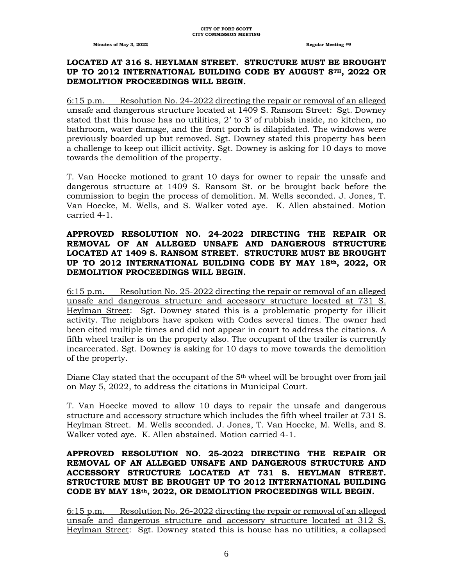#### **LOCATED AT 316 S. HEYLMAN STREET. STRUCTURE MUST BE BROUGHT UP TO 2012 INTERNATIONAL BUILDING CODE BY AUGUST 8TH, 2022 OR DEMOLITION PROCEEDINGS WILL BEGIN.**

6:15 p.m. Resolution No. 24-2022 directing the repair or removal of an alleged unsafe and dangerous structure located at 1409 S. Ransom Street: Sgt. Downey stated that this house has no utilities, 2' to 3' of rubbish inside, no kitchen, no bathroom, water damage, and the front porch is dilapidated. The windows were previously boarded up but removed. Sgt. Downey stated this property has been a challenge to keep out illicit activity. Sgt. Downey is asking for 10 days to move towards the demolition of the property.

T. Van Hoecke motioned to grant 10 days for owner to repair the unsafe and dangerous structure at 1409 S. Ransom St. or be brought back before the commission to begin the process of demolition. M. Wells seconded. J. Jones, T. Van Hoecke, M. Wells, and S. Walker voted aye. K. Allen abstained. Motion carried 4-1.

#### **APPROVED RESOLUTION NO. 24-2022 DIRECTING THE REPAIR OR REMOVAL OF AN ALLEGED UNSAFE AND DANGEROUS STRUCTURE LOCATED AT 1409 S. RANSOM STREET. STRUCTURE MUST BE BROUGHT UP TO 2012 INTERNATIONAL BUILDING CODE BY MAY 18th, 2022, OR DEMOLITION PROCEEDINGS WILL BEGIN.**

6:15 p.m. Resolution No. 25-2022 directing the repair or removal of an alleged unsafe and dangerous structure and accessory structure located at 731 S. Heylman Street: Sgt. Downey stated this is a problematic property for illicit activity. The neighbors have spoken with Codes several times. The owner had been cited multiple times and did not appear in court to address the citations. A fifth wheel trailer is on the property also. The occupant of the trailer is currently incarcerated. Sgt. Downey is asking for 10 days to move towards the demolition of the property.

Diane Clay stated that the occupant of the 5<sup>th</sup> wheel will be brought over from jail on May 5, 2022, to address the citations in Municipal Court.

T. Van Hoecke moved to allow 10 days to repair the unsafe and dangerous structure and accessory structure which includes the fifth wheel trailer at 731 S. Heylman Street. M. Wells seconded. J. Jones, T. Van Hoecke, M. Wells, and S. Walker voted aye. K. Allen abstained. Motion carried 4-1.

#### **APPROVED RESOLUTION NO. 25-2022 DIRECTING THE REPAIR OR REMOVAL OF AN ALLEGED UNSAFE AND DANGEROUS STRUCTURE AND ACCESSORY STRUCTURE LOCATED AT 731 S. HEYLMAN STREET. STRUCTURE MUST BE BROUGHT UP TO 2012 INTERNATIONAL BUILDING CODE BY MAY 18th, 2022, OR DEMOLITION PROCEEDINGS WILL BEGIN.**

6:15 p.m. Resolution No. 26-2022 directing the repair or removal of an alleged unsafe and dangerous structure and accessory structure located at 312 S. Heylman Street: Sgt. Downey stated this is house has no utilities, a collapsed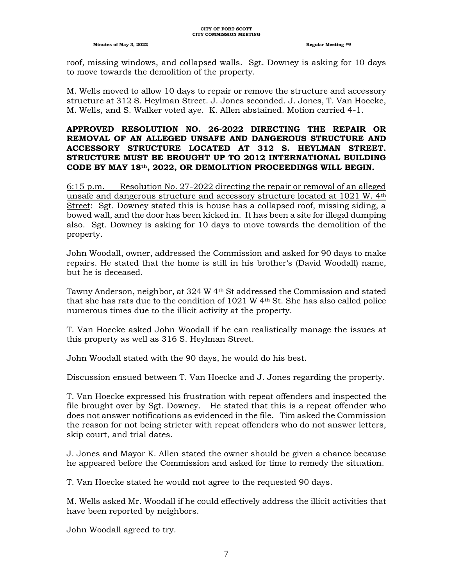roof, missing windows, and collapsed walls. Sgt. Downey is asking for 10 days to move towards the demolition of the property.

M. Wells moved to allow 10 days to repair or remove the structure and accessory structure at 312 S. Heylman Street. J. Jones seconded. J. Jones, T. Van Hoecke, M. Wells, and S. Walker voted aye. K. Allen abstained. Motion carried 4-1.

#### **APPROVED RESOLUTION NO. 26-2022 DIRECTING THE REPAIR OR REMOVAL OF AN ALLEGED UNSAFE AND DANGEROUS STRUCTURE AND ACCESSORY STRUCTURE LOCATED AT 312 S. HEYLMAN STREET. STRUCTURE MUST BE BROUGHT UP TO 2012 INTERNATIONAL BUILDING CODE BY MAY 18th, 2022, OR DEMOLITION PROCEEDINGS WILL BEGIN.**

6:15 p.m. Resolution No. 27-2022 directing the repair or removal of an alleged unsafe and dangerous structure and accessory structure located at 1021 W. 4th Street: Sgt. Downey stated this is house has a collapsed roof, missing siding, a bowed wall, and the door has been kicked in. It has been a site for illegal dumping also. Sgt. Downey is asking for 10 days to move towards the demolition of the property.

John Woodall, owner, addressed the Commission and asked for 90 days to make repairs. He stated that the home is still in his brother's (David Woodall) name, but he is deceased.

Tawny Anderson, neighbor, at 324 W 4th St addressed the Commission and stated that she has rats due to the condition of 1021 W 4th St. She has also called police numerous times due to the illicit activity at the property.

T. Van Hoecke asked John Woodall if he can realistically manage the issues at this property as well as 316 S. Heylman Street.

John Woodall stated with the 90 days, he would do his best.

Discussion ensued between T. Van Hoecke and J. Jones regarding the property.

T. Van Hoecke expressed his frustration with repeat offenders and inspected the file brought over by Sgt. Downey. He stated that this is a repeat offender who does not answer notifications as evidenced in the file. Tim asked the Commission the reason for not being stricter with repeat offenders who do not answer letters, skip court, and trial dates.

J. Jones and Mayor K. Allen stated the owner should be given a chance because he appeared before the Commission and asked for time to remedy the situation.

T. Van Hoecke stated he would not agree to the requested 90 days.

M. Wells asked Mr. Woodall if he could effectively address the illicit activities that have been reported by neighbors.

John Woodall agreed to try.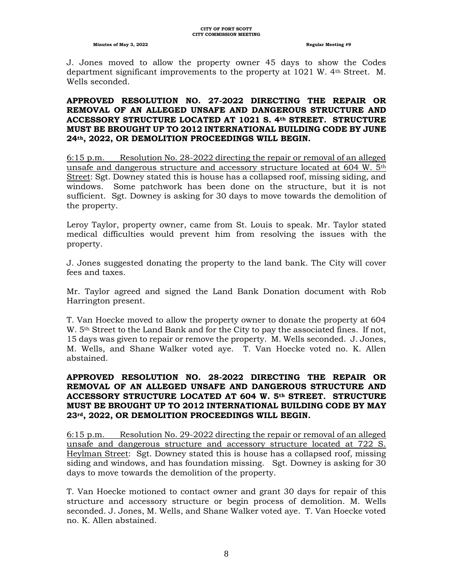J. Jones moved to allow the property owner 45 days to show the Codes department significant improvements to the property at 1021 W. 4th Street. M. Wells seconded.

#### **APPROVED RESOLUTION NO. 27-2022 DIRECTING THE REPAIR OR REMOVAL OF AN ALLEGED UNSAFE AND DANGEROUS STRUCTURE AND ACCESSORY STRUCTURE LOCATED AT 1021 S. 4th STREET. STRUCTURE MUST BE BROUGHT UP TO 2012 INTERNATIONAL BUILDING CODE BY JUNE 24th, 2022, OR DEMOLITION PROCEEDINGS WILL BEGIN.**

6:15 p.m. Resolution No. 28-2022 directing the repair or removal of an alleged unsafe and dangerous structure and accessory structure located at 604 W. 5th Street: Sgt. Downey stated this is house has a collapsed roof, missing siding, and windows. Some patchwork has been done on the structure, but it is not sufficient. Sgt. Downey is asking for 30 days to move towards the demolition of the property.

Leroy Taylor, property owner, came from St. Louis to speak. Mr. Taylor stated medical difficulties would prevent him from resolving the issues with the property.

J. Jones suggested donating the property to the land bank. The City will cover fees and taxes.

Mr. Taylor agreed and signed the Land Bank Donation document with Rob Harrington present.

T. Van Hoecke moved to allow the property owner to donate the property at 604  $W.$  5<sup>th</sup> Street to the Land Bank and for the City to pay the associated fines. If not, 15 days was given to repair or remove the property. M. Wells seconded. J. Jones, M. Wells, and Shane Walker voted aye. T. Van Hoecke voted no. K. Allen abstained.

#### **APPROVED RESOLUTION NO. 28-2022 DIRECTING THE REPAIR OR REMOVAL OF AN ALLEGED UNSAFE AND DANGEROUS STRUCTURE AND ACCESSORY STRUCTURE LOCATED AT 604 W. 5th STREET. STRUCTURE MUST BE BROUGHT UP TO 2012 INTERNATIONAL BUILDING CODE BY MAY 23rd, 2022, OR DEMOLITION PROCEEDINGS WILL BEGIN.**

6:15 p.m. Resolution No. 29-2022 directing the repair or removal of an alleged unsafe and dangerous structure and accessory structure located at 722 S. Heylman Street: Sgt. Downey stated this is house has a collapsed roof, missing siding and windows, and has foundation missing. Sgt. Downey is asking for 30 days to move towards the demolition of the property.

T. Van Hoecke motioned to contact owner and grant 30 days for repair of this structure and accessory structure or begin process of demolition. M. Wells seconded. J. Jones, M. Wells, and Shane Walker voted aye. T. Van Hoecke voted no. K. Allen abstained.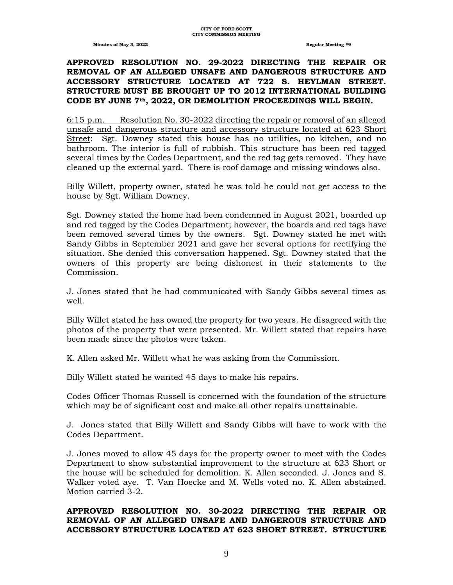#### **APPROVED RESOLUTION NO. 29-2022 DIRECTING THE REPAIR OR REMOVAL OF AN ALLEGED UNSAFE AND DANGEROUS STRUCTURE AND ACCESSORY STRUCTURE LOCATED AT 722 S. HEYLMAN STREET. STRUCTURE MUST BE BROUGHT UP TO 2012 INTERNATIONAL BUILDING CODE BY JUNE 7th, 2022, OR DEMOLITION PROCEEDINGS WILL BEGIN.**

6:15 p.m. Resolution No. 30-2022 directing the repair or removal of an alleged unsafe and dangerous structure and accessory structure located at 623 Short Street: Sgt. Downey stated this house has no utilities, no kitchen, and no bathroom. The interior is full of rubbish. This structure has been red tagged several times by the Codes Department, and the red tag gets removed. They have cleaned up the external yard. There is roof damage and missing windows also.

Billy Willett, property owner, stated he was told he could not get access to the house by Sgt. William Downey.

Sgt. Downey stated the home had been condemned in August 2021, boarded up and red tagged by the Codes Department; however, the boards and red tags have been removed several times by the owners. Sgt. Downey stated he met with Sandy Gibbs in September 2021 and gave her several options for rectifying the situation. She denied this conversation happened. Sgt. Downey stated that the owners of this property are being dishonest in their statements to the Commission.

J. Jones stated that he had communicated with Sandy Gibbs several times as well.

Billy Willet stated he has owned the property for two years. He disagreed with the photos of the property that were presented. Mr. Willett stated that repairs have been made since the photos were taken.

K. Allen asked Mr. Willett what he was asking from the Commission.

Billy Willett stated he wanted 45 days to make his repairs.

Codes Officer Thomas Russell is concerned with the foundation of the structure which may be of significant cost and make all other repairs unattainable.

J. Jones stated that Billy Willett and Sandy Gibbs will have to work with the Codes Department.

J. Jones moved to allow 45 days for the property owner to meet with the Codes Department to show substantial improvement to the structure at 623 Short or the house will be scheduled for demolition. K. Allen seconded. J. Jones and S. Walker voted aye. T. Van Hoecke and M. Wells voted no. K. Allen abstained. Motion carried 3-2.

# **APPROVED RESOLUTION NO. 30-2022 DIRECTING THE REPAIR OR REMOVAL OF AN ALLEGED UNSAFE AND DANGEROUS STRUCTURE AND ACCESSORY STRUCTURE LOCATED AT 623 SHORT STREET. STRUCTURE**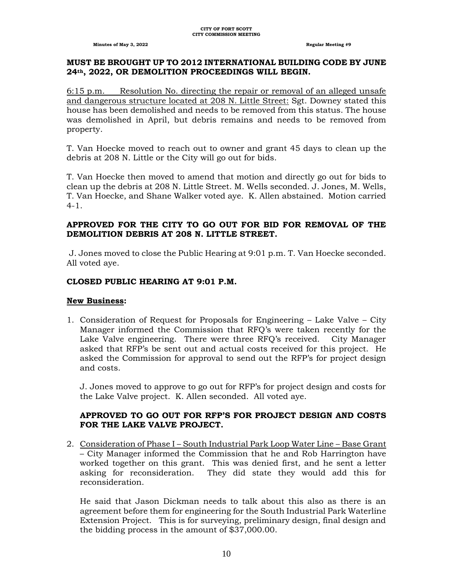#### **MUST BE BROUGHT UP TO 2012 INTERNATIONAL BUILDING CODE BY JUNE 24th, 2022, OR DEMOLITION PROCEEDINGS WILL BEGIN.**

6:15 p.m. Resolution No. directing the repair or removal of an alleged unsafe and dangerous structure located at 208 N. Little Street: Sgt. Downey stated this house has been demolished and needs to be removed from this status. The house was demolished in April, but debris remains and needs to be removed from property.

T. Van Hoecke moved to reach out to owner and grant 45 days to clean up the debris at 208 N. Little or the City will go out for bids.

T. Van Hoecke then moved to amend that motion and directly go out for bids to clean up the debris at 208 N. Little Street. M. Wells seconded. J. Jones, M. Wells, T. Van Hoecke, and Shane Walker voted aye. K. Allen abstained. Motion carried  $4 - 1$ .

#### **APPROVED FOR THE CITY TO GO OUT FOR BID FOR REMOVAL OF THE DEMOLITION DEBRIS AT 208 N. LITTLE STREET.**

J. Jones moved to close the Public Hearing at 9:01 p.m. T. Van Hoecke seconded. All voted aye.

#### **CLOSED PUBLIC HEARING AT 9:01 P.M.**

#### **New Business:**

1. Consideration of Request for Proposals for Engineering – Lake Valve – City Manager informed the Commission that RFQ's were taken recently for the Lake Valve engineering. There were three RFQ's received. City Manager asked that RFP's be sent out and actual costs received for this project. He asked the Commission for approval to send out the RFP's for project design and costs.

J. Jones moved to approve to go out for RFP's for project design and costs for the Lake Valve project. K. Allen seconded. All voted aye.

#### **APPROVED TO GO OUT FOR RFP'S FOR PROJECT DESIGN AND COSTS FOR THE LAKE VALVE PROJECT.**

2. Consideration of Phase I – South Industrial Park Loop Water Line – Base Grant – City Manager informed the Commission that he and Rob Harrington have worked together on this grant. This was denied first, and he sent a letter asking for reconsideration. They did state they would add this for reconsideration.

He said that Jason Dickman needs to talk about this also as there is an agreement before them for engineering for the South Industrial Park Waterline Extension Project. This is for surveying, preliminary design, final design and the bidding process in the amount of \$37,000.00.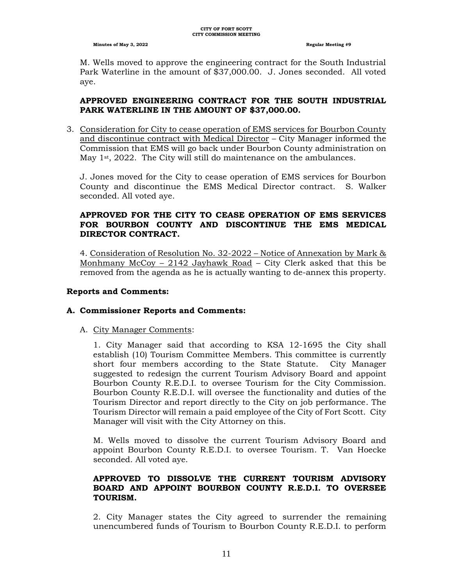M. Wells moved to approve the engineering contract for the South Industrial Park Waterline in the amount of \$37,000.00. J. Jones seconded. All voted aye.

#### **APPROVED ENGINEERING CONTRACT FOR THE SOUTH INDUSTRIAL PARK WATERLINE IN THE AMOUNT OF \$37,000.00.**

3. Consideration for City to cease operation of EMS services for Bourbon County and discontinue contract with Medical Director – City Manager informed the Commission that EMS will go back under Bourbon County administration on May 1<sup>st</sup>, 2022. The City will still do maintenance on the ambulances.

J. Jones moved for the City to cease operation of EMS services for Bourbon County and discontinue the EMS Medical Director contract. S. Walker seconded. All voted aye.

# **APPROVED FOR THE CITY TO CEASE OPERATION OF EMS SERVICES FOR BOURBON COUNTY AND DISCONTINUE THE EMS MEDICAL DIRECTOR CONTRACT.**

4. Consideration of Resolution No. 32-2022 – Notice of Annexation by Mark & Monhmany McCoy – 2142 Jayhawk Road – City Clerk asked that this be removed from the agenda as he is actually wanting to de-annex this property.

#### **Reports and Comments:**

## **A. Commissioner Reports and Comments:**

#### A. City Manager Comments:

1. City Manager said that according to KSA 12-1695 the City shall establish (10) Tourism Committee Members. This committee is currently short four members according to the State Statute. City Manager suggested to redesign the current Tourism Advisory Board and appoint Bourbon County R.E.D.I. to oversee Tourism for the City Commission. Bourbon County R.E.D.I. will oversee the functionality and duties of the Tourism Director and report directly to the City on job performance. The Tourism Director will remain a paid employee of the City of Fort Scott. City Manager will visit with the City Attorney on this.

M. Wells moved to dissolve the current Tourism Advisory Board and appoint Bourbon County R.E.D.I. to oversee Tourism. T. Van Hoecke seconded. All voted aye.

#### **APPROVED TO DISSOLVE THE CURRENT TOURISM ADVISORY BOARD AND APPOINT BOURBON COUNTY R.E.D.I. TO OVERSEE TOURISM.**

2. City Manager states the City agreed to surrender the remaining unencumbered funds of Tourism to Bourbon County R.E.D.I. to perform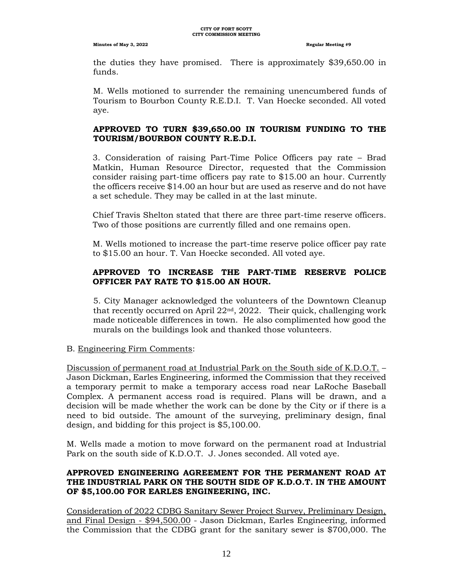the duties they have promised. There is approximately \$39,650.00 in funds.

M. Wells motioned to surrender the remaining unencumbered funds of Tourism to Bourbon County R.E.D.I. T. Van Hoecke seconded. All voted aye.

# **APPROVED TO TURN \$39,650.00 IN TOURISM FUNDING TO THE TOURISM/BOURBON COUNTY R.E.D.I.**

3. Consideration of raising Part-Time Police Officers pay rate – Brad Matkin, Human Resource Director, requested that the Commission consider raising part-time officers pay rate to \$15.00 an hour. Currently the officers receive \$14.00 an hour but are used as reserve and do not have a set schedule. They may be called in at the last minute.

Chief Travis Shelton stated that there are three part-time reserve officers. Two of those positions are currently filled and one remains open.

M. Wells motioned to increase the part-time reserve police officer pay rate to \$15.00 an hour. T. Van Hoecke seconded. All voted aye.

# **APPROVED TO INCREASE THE PART-TIME RESERVE POLICE OFFICER PAY RATE TO \$15.00 AN HOUR.**

5. City Manager acknowledged the volunteers of the Downtown Cleanup that recently occurred on April  $22<sup>nd</sup>$ ,  $2022$ . Their quick, challenging work made noticeable differences in town. He also complimented how good the murals on the buildings look and thanked those volunteers.

B. Engineering Firm Comments:

Discussion of permanent road at Industrial Park on the South side of K.D.O.T. – Jason Dickman, Earles Engineering, informed the Commission that they received a temporary permit to make a temporary access road near LaRoche Baseball Complex. A permanent access road is required. Plans will be drawn, and a decision will be made whether the work can be done by the City or if there is a need to bid outside. The amount of the surveying, preliminary design, final design, and bidding for this project is \$5,100.00.

M. Wells made a motion to move forward on the permanent road at Industrial Park on the south side of K.D.O.T. J. Jones seconded. All voted aye.

## **APPROVED ENGINEERING AGREEMENT FOR THE PERMANENT ROAD AT THE INDUSTRIAL PARK ON THE SOUTH SIDE OF K.D.O.T. IN THE AMOUNT OF \$5,100.00 FOR EARLES ENGINEERING, INC.**

Consideration of 2022 CDBG Sanitary Sewer Project Survey, Preliminary Design, and Final Design - \$94,500.00 - Jason Dickman, Earles Engineering, informed the Commission that the CDBG grant for the sanitary sewer is \$700,000. The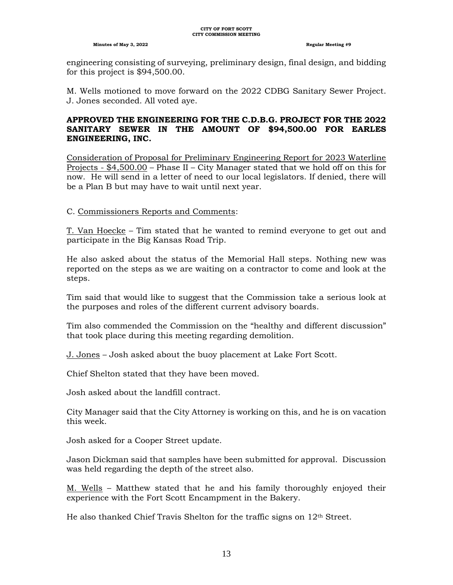engineering consisting of surveying, preliminary design, final design, and bidding for this project is \$94,500.00.

M. Wells motioned to move forward on the 2022 CDBG Sanitary Sewer Project. J. Jones seconded. All voted aye.

#### **APPROVED THE ENGINEERING FOR THE C.D.B.G. PROJECT FOR THE 2022 SANITARY SEWER IN THE AMOUNT OF \$94,500.00 FOR EARLES ENGINEERING, INC.**

Consideration of Proposal for Preliminary Engineering Report for 2023 Waterline Projects - \$4,500.00 – Phase II – City Manager stated that we hold off on this for now. He will send in a letter of need to our local legislators. If denied, there will be a Plan B but may have to wait until next year.

#### C. Commissioners Reports and Comments:

T. Van Hoecke – Tim stated that he wanted to remind everyone to get out and participate in the Big Kansas Road Trip.

He also asked about the status of the Memorial Hall steps. Nothing new was reported on the steps as we are waiting on a contractor to come and look at the steps.

Tim said that would like to suggest that the Commission take a serious look at the purposes and roles of the different current advisory boards.

Tim also commended the Commission on the "healthy and different discussion" that took place during this meeting regarding demolition.

J. Jones – Josh asked about the buoy placement at Lake Fort Scott.

Chief Shelton stated that they have been moved.

Josh asked about the landfill contract.

City Manager said that the City Attorney is working on this, and he is on vacation this week.

Josh asked for a Cooper Street update.

Jason Dickman said that samples have been submitted for approval. Discussion was held regarding the depth of the street also.

M. Wells – Matthew stated that he and his family thoroughly enjoyed their experience with the Fort Scott Encampment in the Bakery.

He also thanked Chief Travis Shelton for the traffic signs on  $12<sup>th</sup>$  Street.